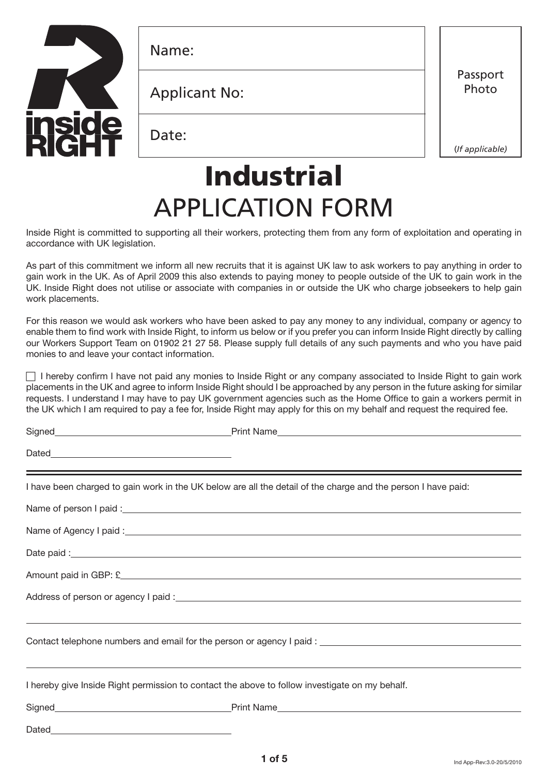

Name:

Applicant No:

Date:

Passport Photo

(*If applicable)*

# Industrial APPLICATION FORM

Inside Right is committed to supporting all their workers, protecting them from any form of exploitation and operating in accordance with UK legislation.

As part of this commitment we inform all new recruits that it is against UK law to ask workers to pay anything in order to gain work in the UK. As of April 2009 this also extends to paying money to people outside of the UK to gain work in the UK. Inside Right does not utilise or associate with companies in or outside the UK who charge jobseekers to help gain work placements.

For this reason we would ask workers who have been asked to pay any money to any individual, company or agency to enable them to find work with Inside Right, to inform us below or if you prefer you can inform Inside Right directly by calling our Workers Support Team on 01902 21 27 58. Please supply full details of any such payments and who you have paid monies to and leave your contact information.

I hereby confirm I have not paid any monies to Inside Right or any company associated to Inside Right to gain work placements in the UK and agree to inform Inside Right should I be approached by any person in the future asking for similar requests. I understand I may have to pay UK government agencies such as the Home Office to gain a workers permit in the UK which I am required to pay a fee for, Inside Right may apply for this on my behalf and request the required fee.

| $\text{Dated}\underline{\hspace{2cm}}\underline{\hspace{2cm}}\underline{\hspace{2cm}}\underline{\hspace{2cm}}\underline{\hspace{2cm}}\underline{\hspace{2cm}}\underline{\hspace{2cm}}\underline{\hspace{2cm}}\underline{\hspace{2cm}}\underline{\hspace{2cm}}\underline{\hspace{2cm}}\underline{\hspace{2cm}}\underline{\hspace{2cm}}\underline{\hspace{2cm}}\underline{\hspace{2cm}}\underline{\hspace{2cm}}\underline{\hspace{2cm}}\underline{\hspace{2cm}}\underline{\hspace{2cm}}\underline{\hspace{2cm}}\underline{\hspace{2cm}}\underline{\hspace{2cm}}\underline{\hspace{2cm}}\underline{\hspace{2cm$ |                                                                                                               |
|--------------------------------------------------------------------------------------------------------------------------------------------------------------------------------------------------------------------------------------------------------------------------------------------------------------------------------------------------------------------------------------------------------------------------------------------------------------------------------------------------------------------------------------------------------------------------------------------------------------|---------------------------------------------------------------------------------------------------------------|
|                                                                                                                                                                                                                                                                                                                                                                                                                                                                                                                                                                                                              | I have been charged to gain work in the UK below are all the detail of the charge and the person I have paid: |
|                                                                                                                                                                                                                                                                                                                                                                                                                                                                                                                                                                                                              |                                                                                                               |
|                                                                                                                                                                                                                                                                                                                                                                                                                                                                                                                                                                                                              |                                                                                                               |
|                                                                                                                                                                                                                                                                                                                                                                                                                                                                                                                                                                                                              |                                                                                                               |
|                                                                                                                                                                                                                                                                                                                                                                                                                                                                                                                                                                                                              |                                                                                                               |
|                                                                                                                                                                                                                                                                                                                                                                                                                                                                                                                                                                                                              |                                                                                                               |
|                                                                                                                                                                                                                                                                                                                                                                                                                                                                                                                                                                                                              | ,我们也不会有什么。""我们的人,我们也不会有什么?""我们的人,我们也不会有什么?""我们的人,我们也不会有什么?""我们的人,我们也不会有什么?""我们的人                              |
|                                                                                                                                                                                                                                                                                                                                                                                                                                                                                                                                                                                                              |                                                                                                               |
|                                                                                                                                                                                                                                                                                                                                                                                                                                                                                                                                                                                                              | ,我们也不会有什么?""我们的人,我们也不会有什么?""我们的人,我们也不会有什么?""我们的人,我们也不会有什么?""我们的人,我们也不会有什么?""我们的人                              |
| I hereby give Inside Right permission to contact the above to follow investigate on my behalf.                                                                                                                                                                                                                                                                                                                                                                                                                                                                                                               |                                                                                                               |
|                                                                                                                                                                                                                                                                                                                                                                                                                                                                                                                                                                                                              |                                                                                                               |
|                                                                                                                                                                                                                                                                                                                                                                                                                                                                                                                                                                                                              |                                                                                                               |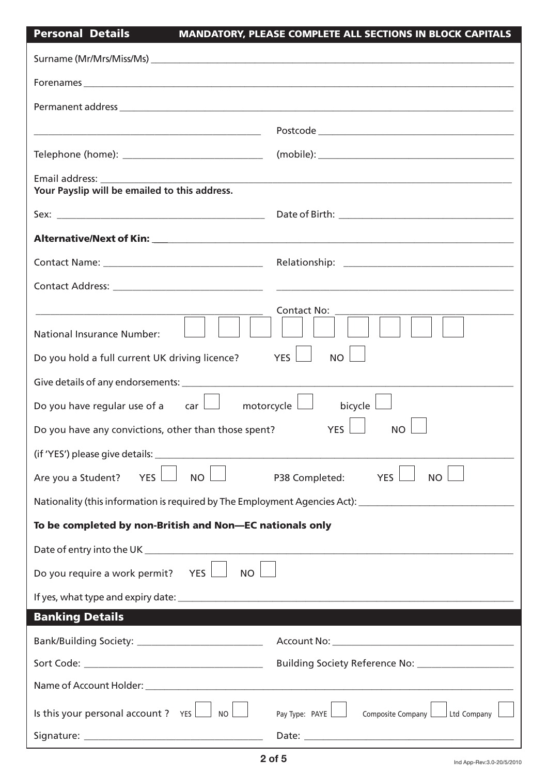## Personal Details MANDATORY, PLEASE COMPLETE ALL SECTIONS IN BLOCK CAPITALS

| <u> 1989 - Johann Barn, mars ar breithinn ar breithinn an t-ann an t-ann an t-ann an t-ann an t-ann an t-ann an t-</u> | $\textbf{Postcode} \_\_\_\_\_ \textbf{postcode} \_\_\_\_ \textbf{postcode} \_\_\_\_ \textbf{postcode} \_\_\_\_ \textbf{postcode} \_\_\_\_ \textbf{postcode} \_\_\_\_ \textbf{postcode} \_\_\_\_ \textbf{postcode} \_\_\_\_ \textbf{postcode} \_\_\_\_ \textbf{postcode} \_\_\_\_ \textbf{postcode} \_\_\_\_ \textbf{postcode} \_\_\_\_ \textbf{postcode} \_\_\_\_ \textbf{postcode} \_\_\_\_ \textbf{postcode} \_\_\_\_ \textbf{postcode} \_\_\_\_ \textbf{postcode} \_\_\_ \textbf{postcode} \_\_\_ \textbf{post$ |
|------------------------------------------------------------------------------------------------------------------------|--------------------------------------------------------------------------------------------------------------------------------------------------------------------------------------------------------------------------------------------------------------------------------------------------------------------------------------------------------------------------------------------------------------------------------------------------------------------------------------------------------------------|
| Telephone (home): ________________________________                                                                     |                                                                                                                                                                                                                                                                                                                                                                                                                                                                                                                    |
| Email address: _____________                                                                                           |                                                                                                                                                                                                                                                                                                                                                                                                                                                                                                                    |
| Your Payslip will be emailed to this address.                                                                          |                                                                                                                                                                                                                                                                                                                                                                                                                                                                                                                    |
|                                                                                                                        |                                                                                                                                                                                                                                                                                                                                                                                                                                                                                                                    |
|                                                                                                                        |                                                                                                                                                                                                                                                                                                                                                                                                                                                                                                                    |
|                                                                                                                        |                                                                                                                                                                                                                                                                                                                                                                                                                                                                                                                    |
|                                                                                                                        |                                                                                                                                                                                                                                                                                                                                                                                                                                                                                                                    |
| National Insurance Number:                                                                                             | Contact No:                                                                                                                                                                                                                                                                                                                                                                                                                                                                                                        |
| Do you hold a full current UK driving licence?                                                                         | YES  <br>NO                                                                                                                                                                                                                                                                                                                                                                                                                                                                                                        |
|                                                                                                                        |                                                                                                                                                                                                                                                                                                                                                                                                                                                                                                                    |
| Do you have regular use of a $\Box$ motorcycle $\Box$                                                                  | bicycle                                                                                                                                                                                                                                                                                                                                                                                                                                                                                                            |
| Do you have any convictions, other than those spent?                                                                   | <b>YES</b><br><b>NO</b>                                                                                                                                                                                                                                                                                                                                                                                                                                                                                            |
| (if 'YES') please give details: _______                                                                                |                                                                                                                                                                                                                                                                                                                                                                                                                                                                                                                    |
| Are you a Student?<br><b>YES</b><br><b>NO</b>                                                                          | P38 Completed:<br><b>YES</b><br><b>NO</b>                                                                                                                                                                                                                                                                                                                                                                                                                                                                          |
|                                                                                                                        | Nationality (this information is required by The Employment Agencies Act): [169] Mationality (this information is required by The Employment Agencies Act):                                                                                                                                                                                                                                                                                                                                                        |
| To be completed by non-British and Non-EC nationals only                                                               |                                                                                                                                                                                                                                                                                                                                                                                                                                                                                                                    |
|                                                                                                                        |                                                                                                                                                                                                                                                                                                                                                                                                                                                                                                                    |
| Do you require a work permit? YES<br>NO <sub>l</sub>                                                                   |                                                                                                                                                                                                                                                                                                                                                                                                                                                                                                                    |
|                                                                                                                        |                                                                                                                                                                                                                                                                                                                                                                                                                                                                                                                    |
| <b>Banking Details</b>                                                                                                 |                                                                                                                                                                                                                                                                                                                                                                                                                                                                                                                    |
|                                                                                                                        |                                                                                                                                                                                                                                                                                                                                                                                                                                                                                                                    |
|                                                                                                                        | Building Society Reference No: _______________________                                                                                                                                                                                                                                                                                                                                                                                                                                                             |
|                                                                                                                        |                                                                                                                                                                                                                                                                                                                                                                                                                                                                                                                    |
| Is this your personal account ? $YES$ $\Box$ No                                                                        |                                                                                                                                                                                                                                                                                                                                                                                                                                                                                                                    |
|                                                                                                                        |                                                                                                                                                                                                                                                                                                                                                                                                                                                                                                                    |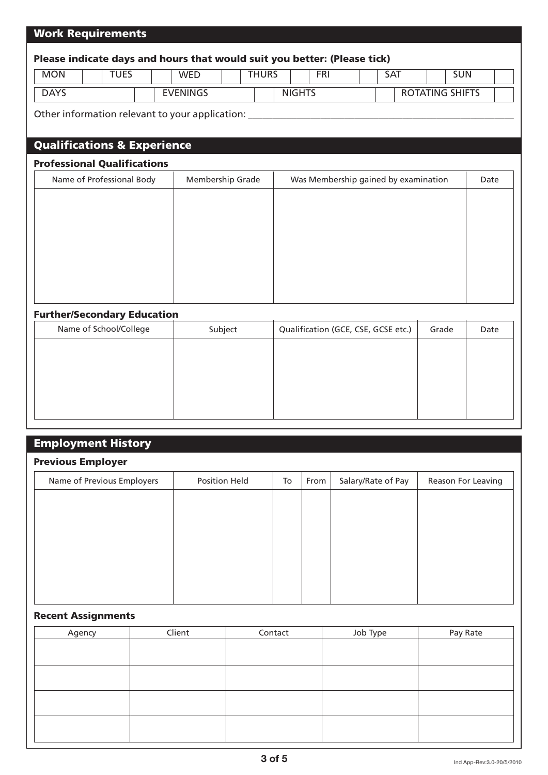### Work Requirements

# Please indicate days and hours that would suit you better: (Please tick) Other information relevant to your application: \_ Qualifications & Experience Professional Qualifications Further/Secondary Education Name of Professional Body | Membership Grade | Was Membership gained by examination | Date MON TUES WED DAYS **EVENINGS** NIGHTS ROTATING SHIFTS THURS FRI SAT SUN

| Name of School/College | Subject | Qualification (GCE, CSE, GCSE etc.) | Grade | Date |
|------------------------|---------|-------------------------------------|-------|------|
|                        |         |                                     |       |      |
|                        |         |                                     |       |      |
|                        |         |                                     |       |      |
|                        |         |                                     |       |      |
|                        |         |                                     |       |      |
|                        |         |                                     |       |      |

| <b>Employment History</b>  |                      |    |      |                    |                    |
|----------------------------|----------------------|----|------|--------------------|--------------------|
| <b>Previous Employer</b>   |                      |    |      |                    |                    |
| Name of Previous Employers | <b>Position Held</b> | To | From | Salary/Rate of Pay | Reason For Leaving |
|                            |                      |    |      |                    |                    |
|                            |                      |    |      |                    |                    |
|                            |                      |    |      |                    |                    |
|                            |                      |    |      |                    |                    |
|                            |                      |    |      |                    |                    |
|                            |                      |    |      |                    |                    |
|                            |                      |    |      |                    |                    |

#### Recent Assignments

| Agency | Client | Contact | Job Type | Pay Rate |
|--------|--------|---------|----------|----------|
|        |        |         |          |          |
|        |        |         |          |          |
|        |        |         |          |          |
|        |        |         |          |          |
|        |        |         |          |          |
|        |        |         |          |          |
|        |        |         |          |          |
|        |        |         |          |          |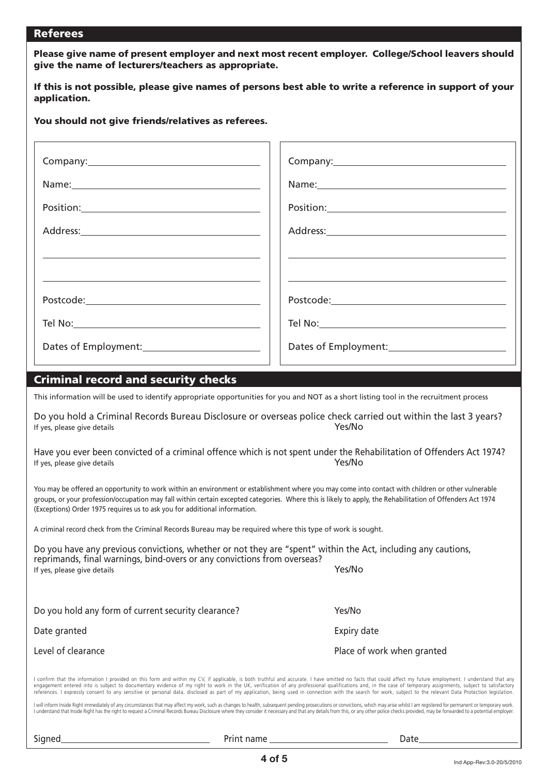#### Referees

Please give name of present employer and next most recent employer. College/School leavers should give the name of lecturers/teachers as appropriate.

If this is not possible, please give names of persons best able to write a reference in support of your application.

#### You should not give friends/relatives as referees.

| $\begin{picture}(150,10) \put(0,0){\vector(1,0){100}} \put(15,0){\vector(1,0){100}} \put(15,0){\vector(1,0){100}} \put(15,0){\vector(1,0){100}} \put(15,0){\vector(1,0){100}} \put(15,0){\vector(1,0){100}} \put(15,0){\vector(1,0){100}} \put(15,0){\vector(1,0){100}} \put(15,0){\vector(1,0){100}} \put(15,0){\vector(1,0){100}} \put(15,0){\vector(1,0){100}}$ |
|--------------------------------------------------------------------------------------------------------------------------------------------------------------------------------------------------------------------------------------------------------------------------------------------------------------------------------------------------------------------|
|                                                                                                                                                                                                                                                                                                                                                                    |
|                                                                                                                                                                                                                                                                                                                                                                    |
|                                                                                                                                                                                                                                                                                                                                                                    |
|                                                                                                                                                                                                                                                                                                                                                                    |
|                                                                                                                                                                                                                                                                                                                                                                    |
|                                                                                                                                                                                                                                                                                                                                                                    |
|                                                                                                                                                                                                                                                                                                                                                                    |

#### Criminal record and security checks Criminal record and security checks

This information will be used to identify appropriate opportunities for you and NOT as a short listing tool in the recruitment process

Do you hold a Criminal Records Bureau Disclosure or overseas police check carried out within the last 3 years? If yes, please give details **Yes/No** 

Have you ever been convicted of a criminal offence which is not spent under the Rehabilitation of Offenders Act 1974? If yes, please give details Yes/No

You may be offered an opportunity to work within an environment or establishment where you may come into contact with children or other vulnerable groups, or your profession/occupation may fall within certain excepted categories. Where this is likely to apply, the Rehabilitation of Offenders Act 1974 (Exceptions) Order 1975 requires us to ask you for additional information.

A criminal record check from the Criminal Records Bureau may be required where this type of work is sought.

| Do you have any previous convictions, whether or not they are "spent" within the Act, including any cautions,<br>reprimands, final warnings, bind-overs or any convictions from overseas? |             |
|-------------------------------------------------------------------------------------------------------------------------------------------------------------------------------------------|-------------|
| If yes, please give details                                                                                                                                                               | Yes/No      |
|                                                                                                                                                                                           |             |
| Do you hold any form of current security clearance?                                                                                                                                       | Yes/No      |
| Date granted                                                                                                                                                                              | Expiry date |

l confirm that the information I provided on this form and within my CV, if applicable, is both truthful and accurate. I have omitted no facts that could affect my future employment. I understand that any engagement entered into is subject to documentary evidence of my right to work in the UK, verification of any professional qualifications and, in the case of temporary assignments, subject to satisfactory references. I expressly consent to any sensitive or personal data, disclosed as part of my application, being used in connection with the search for work, subject to the relevant Data Protection legislation.

I will inform Inside Right immediately of any circumstances that may affect my work, such as changes to health, subsequent pending prosecutions or convictions, which may arise whilst I am registered for permanent or tempor I understand that Inside Right has the right to request a Criminal Records Bureau Disclosure where they consider it necessary and that any details from this, or any other police checks provided, may be forwarded to a poten

Signed Print name Date

Place of work when granted